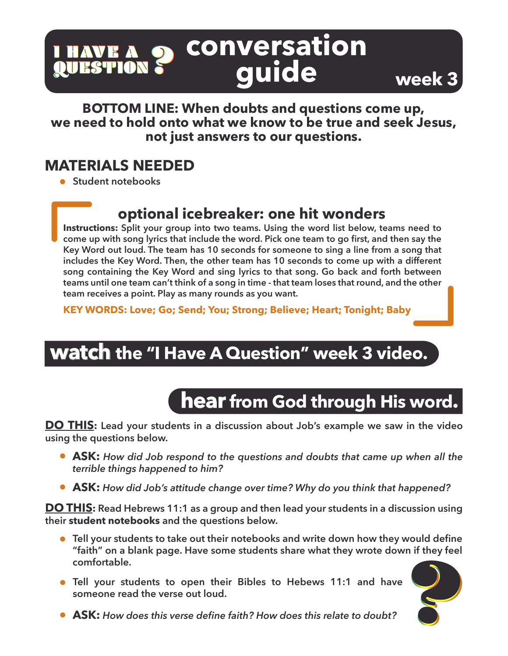#### conversation<br>quide I HAVE A<br><mark>QUESTION</mark> QUESTION QUESTION

**BOTTOM LINE: When doubts and questions come up, we need to hold onto what we know to be true and seek Jesus, not just answers to our questions.**

#### **MATERIALS NEEDED**

**Student notebooks** 

#### **optional icebreaker: one hit wonders**

**Instructions: Split your group into two teams. Using the word list below, teams need to come up with song lyrics that include the word. Pick one team to go first, and then say the Key Word out loud. The team has 10 seconds for someone to sing a line from a song that includes the Key Word. Then, the other team has 10 seconds to come up with a different song containing the Key Word and sing lyrics to that song. Go back and forth between teams until one team can't think of a song in time - that team loses that round, and the other team receives a point. Play as many rounds as you want.** 

**KEY WORDS: Love; Go; Send; You; Strong; Believe; Heart; Tonight; Baby**

## **watch the "I Have A Question" week 3 video.**

## **hear from God through His word.**

**DO THIS: Lead your students in a discussion about Job's example we saw in the video using the questions below.** 

- **ASK:** *How did Job respond to the questions and doubts that came up when all the terrible things happened to him?*
- **ASK:** *How did Job's attitude change over time? Why do you think that happened?*

**DO THIS: Read Hebrews 11:1 as a group and then lead your students in a discussion using their student notebooks and the questions below.**

- **Tell your students to take out their notebooks and write down how they would define "faith" on a blank page. Have some students share what they wrote down if they feel comfortable.**
- **Tell your students to open their Bibles to Hebews 11:1 and have someone read the verse out loud.**





**week 3**